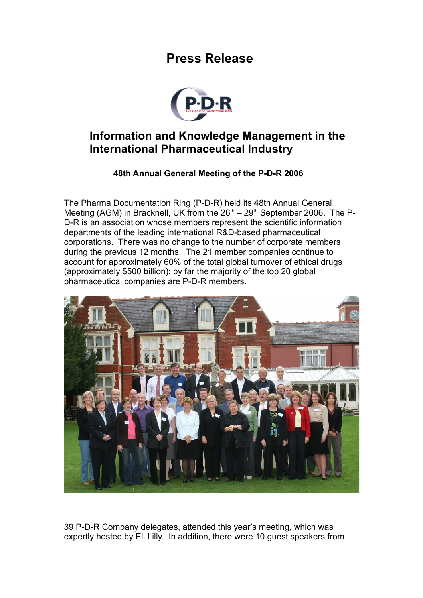## **Press Release**



## **Information and Knowledge Management in the International Pharmaceutical Industry**

## **48th Annual General Meeting of the P-D-R 2006**

The Pharma Documentation Ring (P-D-R) held its 48th Annual General Meeting (AGM) in Bracknell, UK from the  $26<sup>th</sup> - 29<sup>th</sup>$  September 2006. The P-D-R is an association whose members represent the scientific information departments of the leading international R&D-based pharmaceutical corporations. There was no change to the number of corporate members during the previous 12 months. The 21 member companies continue to account for approximately 60% of the total global turnover of ethical drugs (approximately \$500 billion); by far the majority of the top 20 global pharmaceutical companies are P-D-R members.



39 P-D-R Company delegates, attended this year's meeting, which was expertly hosted by Eli Lilly. In addition, there were 10 guest speakers from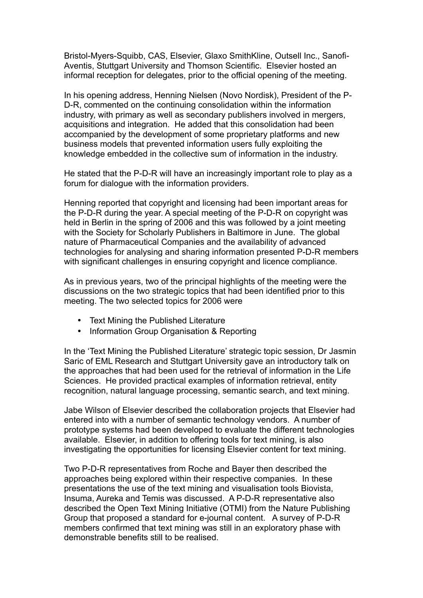Bristol-Myers-Squibb, CAS, Elsevier, Glaxo SmithKline, Outsell Inc., Sanofi-Aventis, Stuttgart University and Thomson Scientific. Elsevier hosted an informal reception for delegates, prior to the official opening of the meeting.

In his opening address, Henning Nielsen (Novo Nordisk), President of the P-D-R, commented on the continuing consolidation within the information industry, with primary as well as secondary publishers involved in mergers, acquisitions and integration. He added that this consolidation had been accompanied by the development of some proprietary platforms and new business models that prevented information users fully exploiting the knowledge embedded in the collective sum of information in the industry.

He stated that the P-D-R will have an increasingly important role to play as a forum for dialogue with the information providers.

Henning reported that copyright and licensing had been important areas for the P-D-R during the year. A special meeting of the P-D-R on copyright was held in Berlin in the spring of 2006 and this was followed by a joint meeting with the Society for Scholarly Publishers in Baltimore in June. The global nature of Pharmaceutical Companies and the availability of advanced technologies for analysing and sharing information presented P-D-R members with significant challenges in ensuring copyright and licence compliance.

As in previous years, two of the principal highlights of the meeting were the discussions on the two strategic topics that had been identified prior to this meeting. The two selected topics for 2006 were

- Text Mining the Published Literature
- Information Group Organisation & Reporting

In the 'Text Mining the Published Literature' strategic topic session, Dr Jasmin Saric of EML Research and Stuttgart University gave an introductory talk on the approaches that had been used for the retrieval of information in the Life Sciences. He provided practical examples of information retrieval, entity recognition, natural language processing, semantic search, and text mining.

Jabe Wilson of Elsevier described the collaboration projects that Elsevier had entered into with a number of semantic technology vendors. A number of prototype systems had been developed to evaluate the different technologies available. Elsevier, in addition to offering tools for text mining, is also investigating the opportunities for licensing Elsevier content for text mining.

Two P-D-R representatives from Roche and Bayer then described the approaches being explored within their respective companies. In these presentations the use of the text mining and visualisation tools Biovista, Insuma, Aureka and Temis was discussed. A P-D-R representative also described the Open Text Mining Initiative (OTMI) from the Nature Publishing Group that proposed a standard for e-journal content. A survey of P-D-R members confirmed that text mining was still in an exploratory phase with demonstrable benefits still to be realised.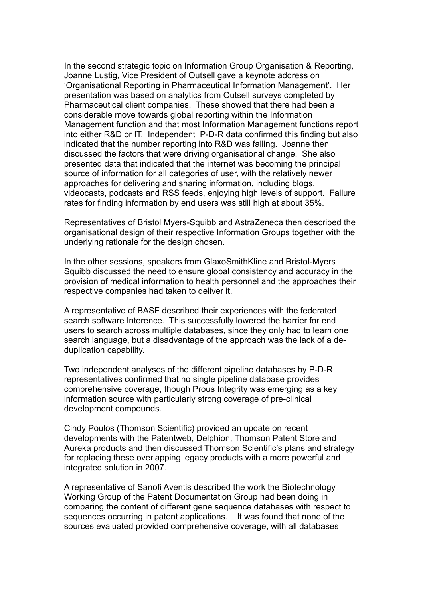In the second strategic topic on Information Group Organisation & Reporting, Joanne Lustig, Vice President of Outsell gave a keynote address on 'Organisational Reporting in Pharmaceutical Information Management'. Her presentation was based on analytics from Outsell surveys completed by Pharmaceutical client companies. These showed that there had been a considerable move towards global reporting within the Information Management function and that most Information Management functions report into either R&D or IT. Independent P-D-R data confirmed this finding but also indicated that the number reporting into R&D was falling. Joanne then discussed the factors that were driving organisational change. She also presented data that indicated that the internet was becoming the principal source of information for all categories of user, with the relatively newer approaches for delivering and sharing information, including blogs, videocasts, podcasts and RSS feeds, enjoying high levels of support. Failure rates for finding information by end users was still high at about 35%.

Representatives of Bristol Myers-Squibb and AstraZeneca then described the organisational design of their respective Information Groups together with the underlying rationale for the design chosen.

In the other sessions, speakers from GlaxoSmithKline and Bristol-Myers Squibb discussed the need to ensure global consistency and accuracy in the provision of medical information to health personnel and the approaches their respective companies had taken to deliver it.

A representative of BASF described their experiences with the federated search software Interence. This successfully lowered the barrier for end users to search across multiple databases, since they only had to learn one search language, but a disadvantage of the approach was the lack of a deduplication capability.

Two independent analyses of the different pipeline databases by P-D-R representatives confirmed that no single pipeline database provides comprehensive coverage, though Prous Integrity was emerging as a key information source with particularly strong coverage of pre-clinical development compounds.

Cindy Poulos (Thomson Scientific) provided an update on recent developments with the Patentweb, Delphion, Thomson Patent Store and Aureka products and then discussed Thomson Scientific's plans and strategy for replacing these overlapping legacy products with a more powerful and integrated solution in 2007.

A representative of Sanofi Aventis described the work the Biotechnology Working Group of the Patent Documentation Group had been doing in comparing the content of different gene sequence databases with respect to sequences occurring in patent applications. It was found that none of the sources evaluated provided comprehensive coverage, with all databases